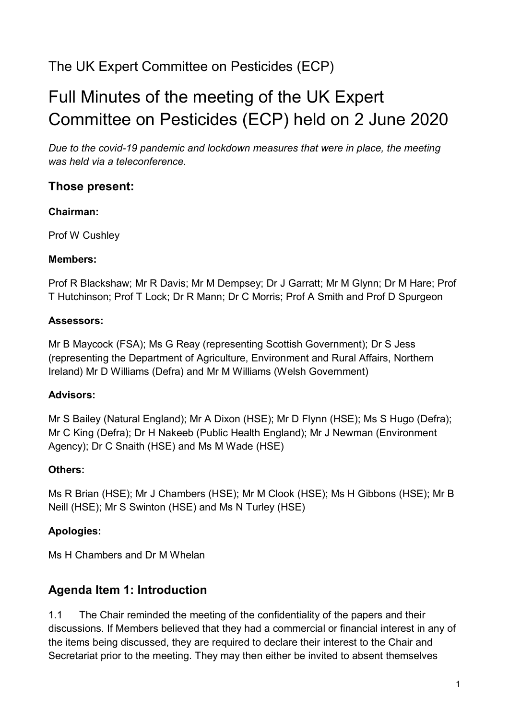## The UK Expert Committee on Pesticides (ECP)

# Full Minutes of the meeting of the UK Expert Committee on Pesticides (ECP) held on 2 June 2020

*Due to the covid-19 pandemic and lockdown measures that were in place, the meeting was held via a teleconference.* 

### **Those present:**

#### **Chairman:**

Prof W Cushley

#### **Members:**

Prof R Blackshaw; Mr R Davis; Mr M Dempsey; Dr J Garratt; Mr M Glynn; Dr M Hare; Prof T Hutchinson; Prof T Lock; Dr R Mann; Dr C Morris; Prof A Smith and Prof D Spurgeon

### **Assessors:**

Mr B Maycock (FSA); Ms G Reay (representing Scottish Government); Dr S Jess (representing the Department of Agriculture, Environment and Rural Affairs, Northern Ireland) Mr D Williams (Defra) and Mr M Williams (Welsh Government)

### **Advisors:**

Mr S Bailey (Natural England); Mr A Dixon (HSE); Mr D Flynn (HSE); Ms S Hugo (Defra); Mr C King (Defra); Dr H Nakeeb (Public Health England); Mr J Newman (Environment Agency); Dr C Snaith (HSE) and Ms M Wade (HSE)

### **Others:**

Ms R Brian (HSE); Mr J Chambers (HSE); Mr M Clook (HSE); Ms H Gibbons (HSE); Mr B Neill (HSE); Mr S Swinton (HSE) and Ms N Turley (HSE)

### **Apologies:**

Ms H Chambers and Dr M Whelan

### **Agenda Item 1: Introduction**

1.1 The Chair reminded the meeting of the confidentiality of the papers and their discussions. If Members believed that they had a commercial or financial interest in any of the items being discussed, they are required to declare their interest to the Chair and Secretariat prior to the meeting. They may then either be invited to absent themselves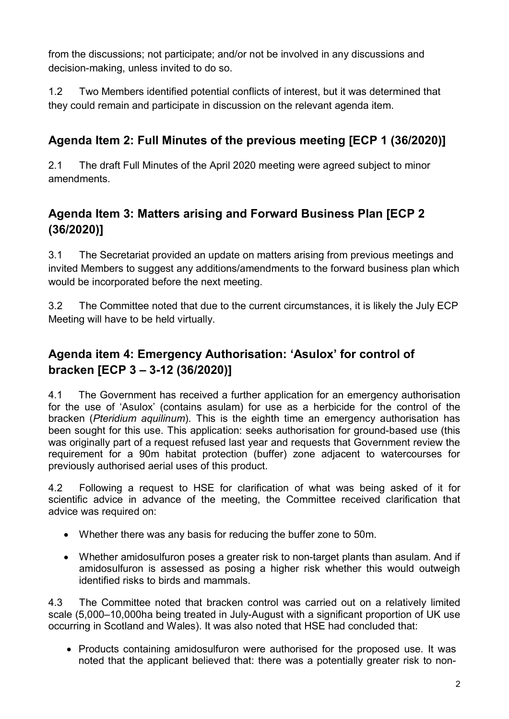from the discussions; not participate; and/or not be involved in any discussions and decision-making, unless invited to do so.

1.2 Two Members identified potential conflicts of interest, but it was determined that they could remain and participate in discussion on the relevant agenda item.

### **Agenda Item 2: Full Minutes of the previous meeting [ECP 1 (36/2020)]**

2.1 The draft Full Minutes of the April 2020 meeting were agreed subject to minor amendments.

### **Agenda Item 3: Matters arising and Forward Business Plan [ECP 2 (36/2020)]**

3.1 The Secretariat provided an update on matters arising from previous meetings and invited Members to suggest any additions/amendments to the forward business plan which would be incorporated before the next meeting.

3.2 The Committee noted that due to the current circumstances, it is likely the July ECP Meeting will have to be held virtually.

### **Agenda item 4: Emergency Authorisation: 'Asulox' for control of bracken [ECP 3 – 3-12 (36/2020)]**

4.1 The Government has received a further application for an emergency authorisation for the use of 'Asulox' (contains asulam) for use as a herbicide for the control of the bracken (*Pteridium aquilinum*). This is the eighth time an emergency authorisation has been sought for this use. This application: seeks authorisation for ground-based use (this was originally part of a request refused last year and requests that Government review the requirement for a 90m habitat protection (buffer) zone adjacent to watercourses for previously authorised aerial uses of this product.

4.2 Following a request to HSE for clarification of what was being asked of it for scientific advice in advance of the meeting, the Committee received clarification that advice was required on:

- Whether there was any basis for reducing the buffer zone to 50m.
- Whether amidosulfuron poses a greater risk to non-target plants than asulam. And if amidosulfuron is assessed as posing a higher risk whether this would outweigh identified risks to birds and mammals.

4.3 The Committee noted that bracken control was carried out on a relatively limited scale (5,000–10,000ha being treated in July-August with a significant proportion of UK use occurring in Scotland and Wales). It was also noted that HSE had concluded that:

• Products containing amidosulfuron were authorised for the proposed use. It was noted that the applicant believed that: there was a potentially greater risk to non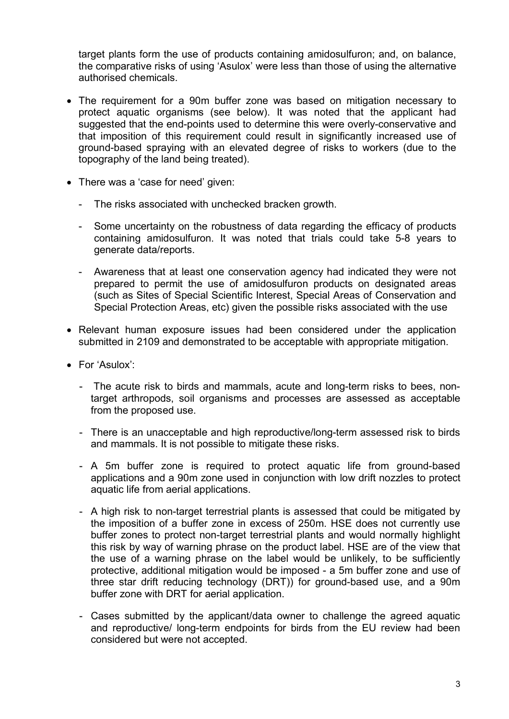target plants form the use of products containing amidosulfuron; and, on balance, the comparative risks of using 'Asulox' were less than those of using the alternative authorised chemicals.

- The requirement for a 90m buffer zone was based on mitigation necessary to protect aquatic organisms (see below). It was noted that the applicant had suggested that the end-points used to determine this were overly-conservative and that imposition of this requirement could result in significantly increased use of ground-based spraying with an elevated degree of risks to workers (due to the topography of the land being treated).
- There was a 'case for need' given:
	- The risks associated with unchecked bracken growth.
	- Some uncertainty on the robustness of data regarding the efficacy of products containing amidosulfuron. It was noted that trials could take 5-8 years to generate data/reports.
	- Awareness that at least one conservation agency had indicated they were not prepared to permit the use of amidosulfuron products on designated areas (such as Sites of Special Scientific Interest, Special Areas of Conservation and Special Protection Areas, etc) given the possible risks associated with the use
- Relevant human exposure issues had been considered under the application submitted in 2109 and demonstrated to be acceptable with appropriate mitigation.
- For 'Asulox':
	- The acute risk to birds and mammals, acute and long-term risks to bees, nontarget arthropods, soil organisms and processes are assessed as acceptable from the proposed use.
	- There is an unacceptable and high reproductive/long-term assessed risk to birds and mammals. It is not possible to mitigate these risks.
	- A 5m buffer zone is required to protect aquatic life from ground-based applications and a 90m zone used in conjunction with low drift nozzles to protect aquatic life from aerial applications.
	- A high risk to non-target terrestrial plants is assessed that could be mitigated by the imposition of a buffer zone in excess of 250m. HSE does not currently use buffer zones to protect non-target terrestrial plants and would normally highlight this risk by way of warning phrase on the product label. HSE are of the view that the use of a warning phrase on the label would be unlikely, to be sufficiently protective, additional mitigation would be imposed - a 5m buffer zone and use of three star drift reducing technology (DRT)) for ground-based use, and a 90m buffer zone with DRT for aerial application.
	- Cases submitted by the applicant/data owner to challenge the agreed aquatic and reproductive/ long-term endpoints for birds from the EU review had been considered but were not accepted.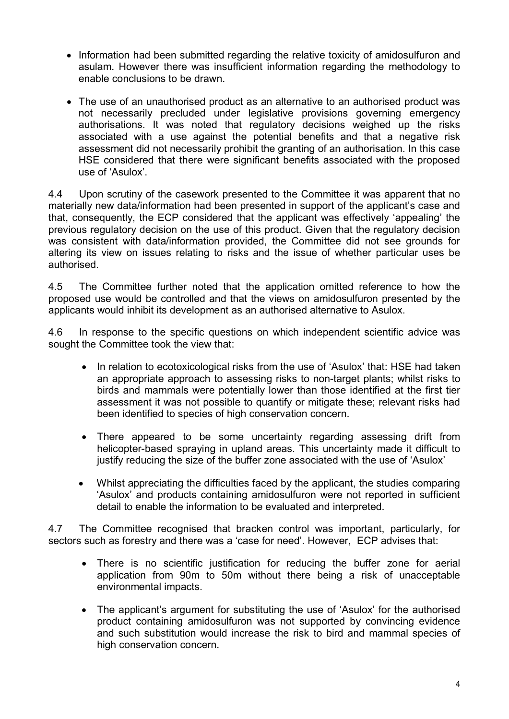- Information had been submitted regarding the relative toxicity of amidosulfuron and asulam. However there was insufficient information regarding the methodology to enable conclusions to be drawn.
- The use of an unauthorised product as an alternative to an authorised product was not necessarily precluded under legislative provisions governing emergency authorisations. It was noted that regulatory decisions weighed up the risks associated with a use against the potential benefits and that a negative risk assessment did not necessarily prohibit the granting of an authorisation. In this case HSE considered that there were significant benefits associated with the proposed use of 'Asulox'.

4.4 Upon scrutiny of the casework presented to the Committee it was apparent that no materially new data/information had been presented in support of the applicant's case and that, consequently, the ECP considered that the applicant was effectively 'appealing' the previous regulatory decision on the use of this product. Given that the regulatory decision was consistent with data/information provided, the Committee did not see grounds for altering its view on issues relating to risks and the issue of whether particular uses be authorised.

4.5 The Committee further noted that the application omitted reference to how the proposed use would be controlled and that the views on amidosulfuron presented by the applicants would inhibit its development as an authorised alternative to Asulox.

4.6 In response to the specific questions on which independent scientific advice was sought the Committee took the view that:

- In relation to ecotoxicological risks from the use of 'Asulox' that: HSE had taken an appropriate approach to assessing risks to non-target plants; whilst risks to birds and mammals were potentially lower than those identified at the first tier assessment it was not possible to quantify or mitigate these; relevant risks had been identified to species of high conservation concern.
- There appeared to be some uncertainty regarding assessing drift from helicopter-based spraying in upland areas. This uncertainty made it difficult to justify reducing the size of the buffer zone associated with the use of 'Asulox'
- Whilst appreciating the difficulties faced by the applicant, the studies comparing 'Asulox' and products containing amidosulfuron were not reported in sufficient detail to enable the information to be evaluated and interpreted.

4.7 The Committee recognised that bracken control was important, particularly, for sectors such as forestry and there was a 'case for need'. However, ECP advises that:

- There is no scientific justification for reducing the buffer zone for aerial application from 90m to 50m without there being a risk of unacceptable environmental impacts.
- The applicant's argument for substituting the use of 'Asulox' for the authorised product containing amidosulfuron was not supported by convincing evidence and such substitution would increase the risk to bird and mammal species of high conservation concern.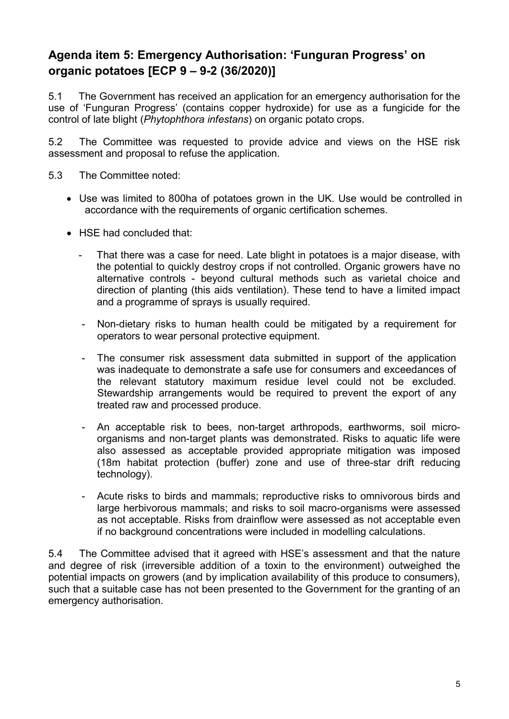### **Agenda item 5: Emergency Authorisation: 'Funguran Progress' on organic potatoes [ECP 9 – 9-2 (36/2020)]**

5.1 The Government has received an application for an emergency authorisation for the use of 'Funguran Progress' (contains copper hydroxide) for use as a fungicide for the control of late blight (*Phytophthora infestans*) on organic potato crops.

5.2 The Committee was requested to provide advice and views on the HSE risk assessment and proposal to refuse the application.

- 5.3 The Committee noted:
	- Use was limited to 800ha of potatoes grown in the UK. Use would be controlled in accordance with the requirements of organic certification schemes.
	- HSE had concluded that:
		- That there was a case for need. Late blight in potatoes is a major disease, with the potential to quickly destroy crops if not controlled. Organic growers have no alternative controls - beyond cultural methods such as varietal choice and direction of planting (this aids ventilation). These tend to have a limited impact and a programme of sprays is usually required.
		- Non-dietary risks to human health could be mitigated by a requirement for operators to wear personal protective equipment.
		- The consumer risk assessment data submitted in support of the application was inadequate to demonstrate a safe use for consumers and exceedances of the relevant statutory maximum residue level could not be excluded. Stewardship arrangements would be required to prevent the export of any treated raw and processed produce.
		- An acceptable risk to bees, non-target arthropods, earthworms, soil microorganisms and non-target plants was demonstrated. Risks to aquatic life were also assessed as acceptable provided appropriate mitigation was imposed (18m habitat protection (buffer) zone and use of three-star drift reducing technology).
		- Acute risks to birds and mammals; reproductive risks to omnivorous birds and large herbivorous mammals; and risks to soil macro-organisms were assessed as not acceptable. Risks from drainflow were assessed as not acceptable even if no background concentrations were included in modelling calculations.

5.4 The Committee advised that it agreed with HSE's assessment and that the nature and degree of risk (irreversible addition of a toxin to the environment) outweighed the potential impacts on growers (and by implication availability of this produce to consumers), such that a suitable case has not been presented to the Government for the granting of an emergency authorisation.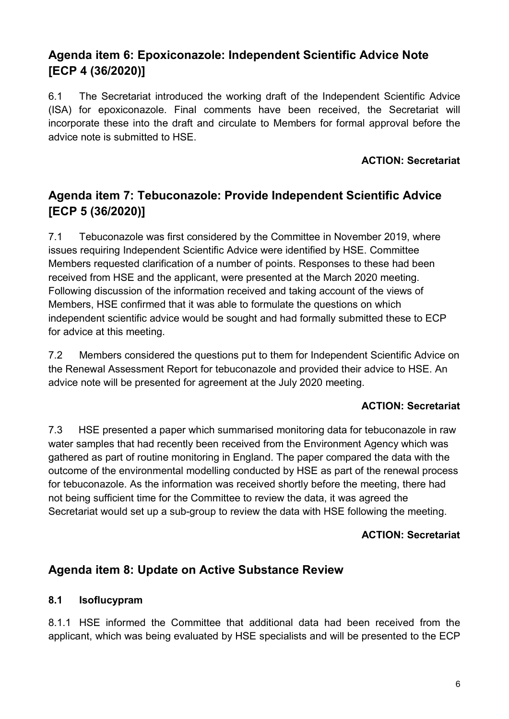### **Agenda item 6: Epoxiconazole: Independent Scientific Advice Note [ECP 4 (36/2020)]**

6.1 The Secretariat introduced the working draft of the Independent Scientific Advice (ISA) for epoxiconazole. Final comments have been received, the Secretariat will incorporate these into the draft and circulate to Members for formal approval before the advice note is submitted to HSE.

#### **ACTION: Secretariat**

### **Agenda item 7: Tebuconazole: Provide Independent Scientific Advice [ECP 5 (36/2020)]**

7.1 Tebuconazole was first considered by the Committee in November 2019, where issues requiring Independent Scientific Advice were identified by HSE. Committee Members requested clarification of a number of points. Responses to these had been received from HSE and the applicant, were presented at the March 2020 meeting. Following discussion of the information received and taking account of the views of Members, HSE confirmed that it was able to formulate the questions on which independent scientific advice would be sought and had formally submitted these to ECP for advice at this meeting.

7.2 Members considered the questions put to them for Independent Scientific Advice on the Renewal Assessment Report for tebuconazole and provided their advice to HSE. An advice note will be presented for agreement at the July 2020 meeting.

#### **ACTION: Secretariat**

7.3 HSE presented a paper which summarised monitoring data for tebuconazole in raw water samples that had recently been received from the Environment Agency which was gathered as part of routine monitoring in England. The paper compared the data with the outcome of the environmental modelling conducted by HSE as part of the renewal process for tebuconazole. As the information was received shortly before the meeting, there had not being sufficient time for the Committee to review the data, it was agreed the Secretariat would set up a sub-group to review the data with HSE following the meeting.

#### **ACTION: Secretariat**

### **Agenda item 8: Update on Active Substance Review**

#### **8.1 Isoflucypram**

8.1.1 HSE informed the Committee that additional data had been received from the applicant, which was being evaluated by HSE specialists and will be presented to the ECP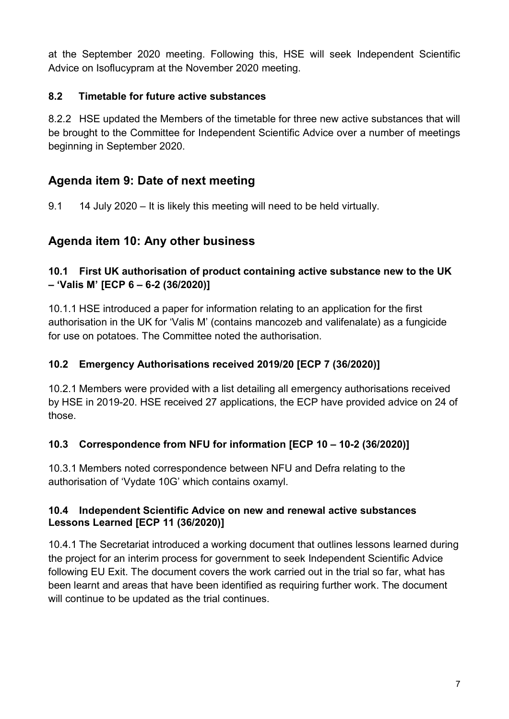at the September 2020 meeting. Following this, HSE will seek Independent Scientific Advice on Isoflucypram at the November 2020 meeting.

### **8.2 Timetable for future active substances**

8.2.2 HSE updated the Members of the timetable for three new active substances that will be brought to the Committee for Independent Scientific Advice over a number of meetings beginning in September 2020.

### **Agenda item 9: Date of next meeting**

9.1 14 July 2020 – It is likely this meeting will need to be held virtually.

### **Agenda item 10: Any other business**

#### **10.1 First UK authorisation of product containing active substance new to the UK – 'Valis M' [ECP 6 – 6-2 (36/2020)]**

10.1.1 HSE introduced a paper for information relating to an application for the first authorisation in the UK for 'Valis M' (contains mancozeb and valifenalate) as a fungicide for use on potatoes. The Committee noted the authorisation.

### **10.2 Emergency Authorisations received 2019/20 [ECP 7 (36/2020)]**

10.2.1 Members were provided with a list detailing all emergency authorisations received by HSE in 2019-20. HSE received 27 applications, the ECP have provided advice on 24 of those.

### **10.3 Correspondence from NFU for information [ECP 10 – 10-2 (36/2020)]**

10.3.1 Members noted correspondence between NFU and Defra relating to the authorisation of 'Vydate 10G' which contains oxamyl.

#### **10.4 Independent Scientific Advice on new and renewal active substances Lessons Learned [ECP 11 (36/2020)]**

10.4.1 The Secretariat introduced a working document that outlines lessons learned during the project for an interim process for government to seek Independent Scientific Advice following EU Exit. The document covers the work carried out in the trial so far, what has been learnt and areas that have been identified as requiring further work. The document will continue to be updated as the trial continues.